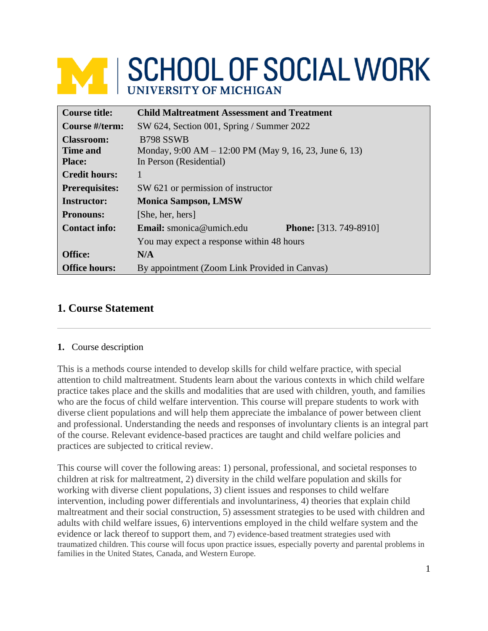# **WE SCHOOL OF SOCIAL WORK**

| <b>Course title:</b>  | <b>Child Maltreatment Assessment and Treatment</b>     |                               |  |  |
|-----------------------|--------------------------------------------------------|-------------------------------|--|--|
| Course #/term:        | SW 624, Section 001, Spring / Summer 2022              |                               |  |  |
| <b>Classroom:</b>     | B <sub>798</sub> SSWB                                  |                               |  |  |
| Time and              | Monday, 9:00 AM – 12:00 PM (May 9, 16, 23, June 6, 13) |                               |  |  |
| <b>Place:</b>         | In Person (Residential)                                |                               |  |  |
| <b>Credit hours:</b>  |                                                        |                               |  |  |
| <b>Prerequisites:</b> | SW 621 or permission of instructor                     |                               |  |  |
| <b>Instructor:</b>    | <b>Monica Sampson, LMSW</b>                            |                               |  |  |
| <b>Pronouns:</b>      | [She, her, hers]                                       |                               |  |  |
| <b>Contact info:</b>  | Email: smonica@umich.edu                               | <b>Phone:</b> [313. 749-8910] |  |  |
|                       | You may expect a response within 48 hours              |                               |  |  |
| <b>Office:</b>        | N/A                                                    |                               |  |  |
| <b>Office hours:</b>  | By appointment (Zoom Link Provided in Canvas)          |                               |  |  |

# **1. Course Statement**

## **1.** Course description

This is a methods course intended to develop skills for child welfare practice, with special attention to child maltreatment. Students learn about the various contexts in which child welfare practice takes place and the skills and modalities that are used with children, youth, and families who are the focus of child welfare intervention. This course will prepare students to work with diverse client populations and will help them appreciate the imbalance of power between client and professional. Understanding the needs and responses of involuntary clients is an integral part of the course. Relevant evidence-based practices are taught and child welfare policies and practices are subjected to critical review.

This course will cover the following areas: 1) personal, professional, and societal responses to children at risk for maltreatment, 2) diversity in the child welfare population and skills for working with diverse client populations, 3) client issues and responses to child welfare intervention, including power differentials and involuntariness, 4) theories that explain child maltreatment and their social construction, 5) assessment strategies to be used with children and adults with child welfare issues, 6) interventions employed in the child welfare system and the evidence or lack thereof to support them, and 7) evidence-based treatment strategies used with traumatized children. This course will focus upon practice issues, especially poverty and parental problems in families in the United States, Canada, and Western Europe.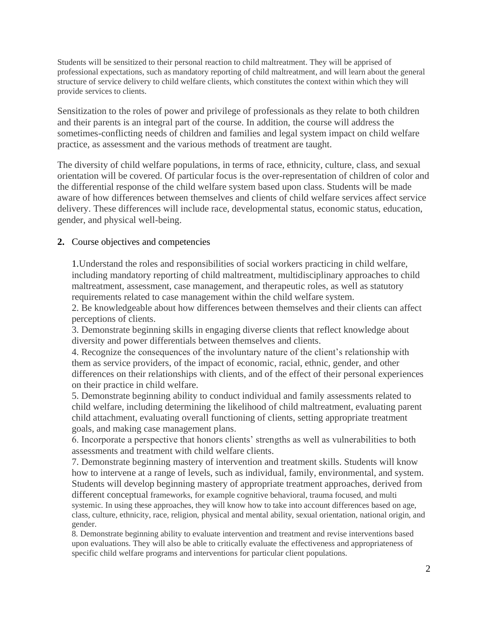Students will be sensitized to their personal reaction to child maltreatment. They will be apprised of professional expectations, such as mandatory reporting of child maltreatment, and will learn about the general structure of service delivery to child welfare clients, which constitutes the context within which they will provide services to clients.

Sensitization to the roles of power and privilege of professionals as they relate to both children and their parents is an integral part of the course. In addition, the course will address the sometimes-conflicting needs of children and families and legal system impact on child welfare practice, as assessment and the various methods of treatment are taught.

The diversity of child welfare populations, in terms of race, ethnicity, culture, class, and sexual orientation will be covered. Of particular focus is the over-representation of children of color and the differential response of the child welfare system based upon class. Students will be made aware of how differences between themselves and clients of child welfare services affect service delivery. These differences will include race, developmental status, economic status, education, gender, and physical well-being.

#### **2.** Course objectives and competencies

1.Understand the roles and responsibilities of social workers practicing in child welfare, including mandatory reporting of child maltreatment, multidisciplinary approaches to child maltreatment, assessment, case management, and therapeutic roles, as well as statutory requirements related to case management within the child welfare system.

2. Be knowledgeable about how differences between themselves and their clients can affect perceptions of clients.

3. Demonstrate beginning skills in engaging diverse clients that reflect knowledge about diversity and power differentials between themselves and clients.

4. Recognize the consequences of the involuntary nature of the client's relationship with them as service providers, of the impact of economic, racial, ethnic, gender, and other differences on their relationships with clients, and of the effect of their personal experiences on their practice in child welfare.

5. Demonstrate beginning ability to conduct individual and family assessments related to child welfare, including determining the likelihood of child maltreatment, evaluating parent child attachment, evaluating overall functioning of clients, setting appropriate treatment goals, and making case management plans.

6. Incorporate a perspective that honors clients' strengths as well as vulnerabilities to both assessments and treatment with child welfare clients.

7. Demonstrate beginning mastery of intervention and treatment skills. Students will know how to intervene at a range of levels, such as individual, family, environmental, and system. Students will develop beginning mastery of appropriate treatment approaches, derived from different conceptual frameworks, for example cognitive behavioral, trauma focused, and multi systemic. In using these approaches, they will know how to take into account differences based on age, class, culture, ethnicity, race, religion, physical and mental ability, sexual orientation, national origin, and gender.

8. Demonstrate beginning ability to evaluate intervention and treatment and revise interventions based upon evaluations. They will also be able to critically evaluate the effectiveness and appropriateness of specific child welfare programs and interventions for particular client populations.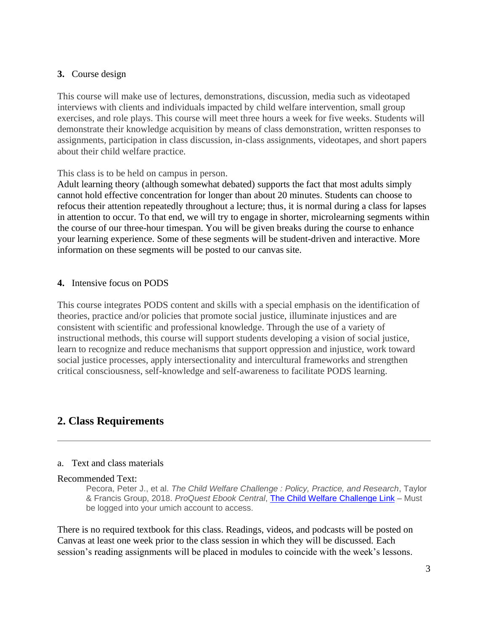#### **3.** Course design

This course will make use of lectures, demonstrations, discussion, media such as videotaped interviews with clients and individuals impacted by child welfare intervention, small group exercises, and role plays. This course will meet three hours a week for five weeks. Students will demonstrate their knowledge acquisition by means of class demonstration, written responses to assignments, participation in class discussion, in-class assignments, videotapes, and short papers about their child welfare practice.

#### This class is to be held on campus in person.

Adult learning theory (although somewhat debated) supports the fact that most adults simply cannot hold effective concentration for longer than about 20 minutes. Students can choose to refocus their attention repeatedly throughout a lecture; thus, it is normal during a class for lapses in attention to occur. To that end, we will try to engage in shorter, microlearning segments within the course of our three-hour timespan. You will be given breaks during the course to enhance your learning experience. Some of these segments will be student-driven and interactive. More information on these segments will be posted to our canvas site.

#### **4.** Intensive focus on PODS

This course integrates PODS content and skills with a special emphasis on the identification of theories, practice and/or policies that promote social justice, illuminate injustices and are consistent with scientific and professional knowledge. Through the use of a variety of instructional methods, this course will support students developing a vision of social justice, learn to recognize and reduce mechanisms that support oppression and injustice, work toward social justice processes, apply intersectionality and intercultural frameworks and strengthen critical consciousness, self-knowledge and self-awareness to facilitate PODS learning.

# **2. Class Requirements**

#### a. Text and class materials

#### Recommended Text:

Pecora, Peter J., et al. *The Child Welfare Challenge : Policy, Practice, and Research*, Taylor & Francis Group, 2018. *ProQuest Ebook Central*, [The Child Welfare Challenge Link](https://ebookcentral-proquest-com.proxy.lib.umich.edu/lib/umichigan/detail.action?docID=5580131) – Must be logged into your umich account to access.

There is no required textbook for this class. Readings, videos, and podcasts will be posted on Canvas at least one week prior to the class session in which they will be discussed. Each session's reading assignments will be placed in modules to coincide with the week's lessons.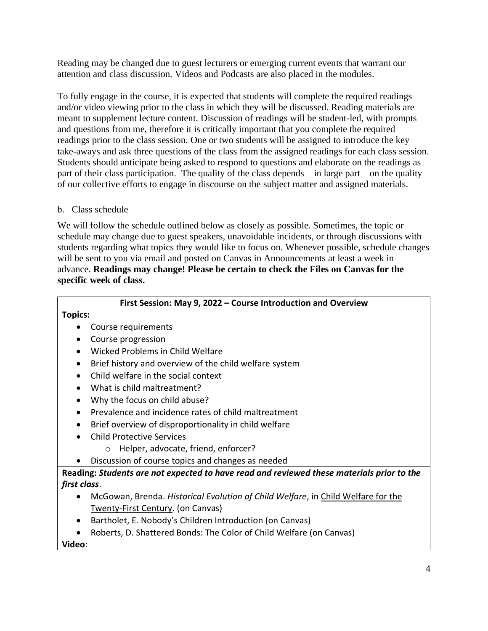Reading may be changed due to guest lecturers or emerging current events that warrant our attention and class discussion. Videos and Podcasts are also placed in the modules.

To fully engage in the course, it is expected that students will complete the required readings and/or video viewing prior to the class in which they will be discussed. Reading materials are meant to supplement lecture content. Discussion of readings will be student-led, with prompts and questions from me, therefore it is critically important that you complete the required readings prior to the class session. One or two students will be assigned to introduce the key take-aways and ask three questions of the class from the assigned readings for each class session. Students should anticipate being asked to respond to questions and elaborate on the readings as part of their class participation. The quality of the class depends – in large part – on the quality of our collective efforts to engage in discourse on the subject matter and assigned materials.

#### b. Class schedule

We will follow the schedule outlined below as closely as possible. Sometimes, the topic or schedule may change due to guest speakers, unavoidable incidents, or through discussions with students regarding what topics they would like to focus on. Whenever possible, schedule changes will be sent to you via email and posted on Canvas in Announcements at least a week in advance. **Readings may change! Please be certain to check the Files on Canvas for the specific week of class.**

| First Session: May 9, 2022 - Course Introduction and Overview                             |  |  |  |  |
|-------------------------------------------------------------------------------------------|--|--|--|--|
| <b>Topics:</b>                                                                            |  |  |  |  |
| Course requirements                                                                       |  |  |  |  |
| Course progression                                                                        |  |  |  |  |
| Wicked Problems in Child Welfare                                                          |  |  |  |  |
| Brief history and overview of the child welfare system<br>٠                               |  |  |  |  |
| Child welfare in the social context                                                       |  |  |  |  |
| What is child maltreatment?                                                               |  |  |  |  |
| Why the focus on child abuse?                                                             |  |  |  |  |
| Prevalence and incidence rates of child maltreatment                                      |  |  |  |  |
| Brief overview of disproportionality in child welfare                                     |  |  |  |  |
| <b>Child Protective Services</b>                                                          |  |  |  |  |
| Helper, advocate, friend, enforcer?<br>$\circ$                                            |  |  |  |  |
| Discussion of course topics and changes as needed                                         |  |  |  |  |
| Reading: Students are not expected to have read and reviewed these materials prior to the |  |  |  |  |
| first class.                                                                              |  |  |  |  |
| McGowan, Brenda. Historical Evolution of Child Welfare, in Child Welfare for the          |  |  |  |  |
| <b>Twenty-First Century. (on Canvas)</b>                                                  |  |  |  |  |
| Bartholet, E. Nobody's Children Introduction (on Canvas)                                  |  |  |  |  |
| Roberts, D. Shattered Bonds: The Color of Child Welfare (on Canvas)                       |  |  |  |  |
| Video:                                                                                    |  |  |  |  |
|                                                                                           |  |  |  |  |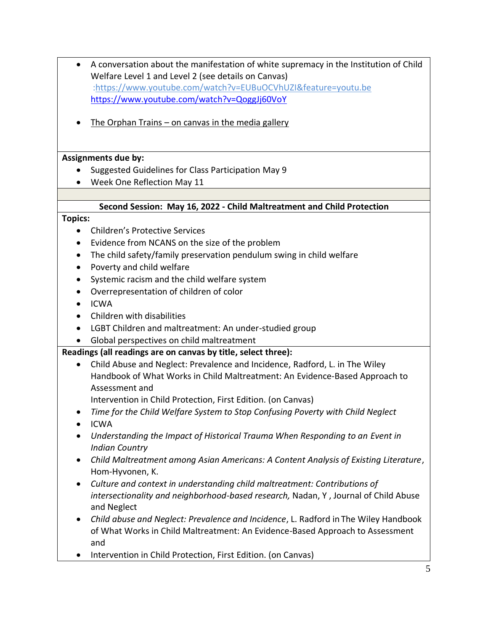- A conversation about the manifestation of white supremacy in the Institution of Child Welfare Level 1 and Level 2 (see details on Canvas) [:https://www.youtube.com/watch?v=EUBuOCVhUZI&feature=youtu.be](https://www.youtube.com/watch?v=EUBuOCVhUZI&feature=youtu.be) <https://www.youtube.com/watch?v=QoggJj60VoY>
- The Orphan Trains on canvas in the media gallery

#### **Assignments due by:**

- Suggested Guidelines for Class Participation May 9
- Week One Reflection May 11

#### **Second Session: May 16, 2022 - Child Maltreatment and Child Protection**

#### **Topics:**

- Children's Protective Services
- Evidence from NCANS on the size of the problem
- The child safety/family preservation pendulum swing in child welfare
- Poverty and child welfare
- Systemic racism and the child welfare system
- Overrepresentation of children of color
- ICWA
- Children with disabilities
- LGBT Children and maltreatment: An under-studied group
- Global perspectives on child maltreatment

## **Readings (all readings are on canvas by title, select three):**

- Child Abuse and Neglect: Prevalence and Incidence, Radford, L. in The Wiley Handbook of What Works in Child Maltreatment: An Evidence-Based Approach to Assessment and
	- Intervention in Child Protection, First Edition. (on Canvas)
- *Time for the Child Welfare System to Stop Confusing Poverty with Child Neglect*
- ICWA
- *Understanding the Impact of Historical Trauma When Responding to an Event in Indian Country*
- *Child Maltreatment among Asian Americans: A Content Analysis of Existing Literature*, Hom-Hyvonen, K.
- *Culture and context in understanding child maltreatment: Contributions of intersectionality and neighborhood-based research,* Nadan, Y , Journal of Child Abuse and Neglect
- *Child abuse and Neglect: Prevalence and Incidence*, L. Radford in The Wiley Handbook of What Works in Child Maltreatment: An Evidence-Based Approach to Assessment and
- Intervention in Child Protection, First Edition. (on Canvas)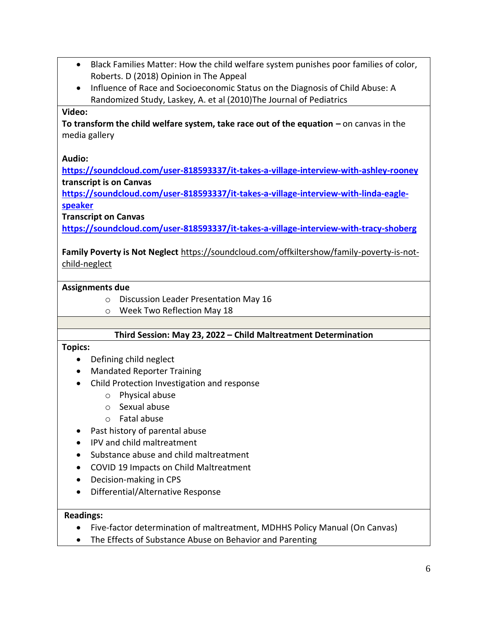- Black Families Matter: How the child welfare system punishes poor families of color, Roberts. D (2018) Opinion in The Appeal
- Influence of Race and Socioeconomic Status on the Diagnosis of Child Abuse: A Randomized Study, Laskey, A. et al (2010)The Journal of Pediatrics

#### **Video:**

**To transform the child welfare system, take race out of the equation –** on canvas in the media gallery

#### **Audio:**

**<https://soundcloud.com/user-818593337/it-takes-a-village-interview-with-ashley-rooney> transcript is on Canvas**

**[https://soundcloud.com/user-818593337/it-takes-a-village-interview-with-linda-eagle](https://soundcloud.com/user-818593337/it-takes-a-village-interview-with-linda-eagle-speaker)[speaker](https://soundcloud.com/user-818593337/it-takes-a-village-interview-with-linda-eagle-speaker)**

**Transcript on Canvas**

**<https://soundcloud.com/user-818593337/it-takes-a-village-interview-with-tracy-shoberg>**

**Family Poverty is Not Neglect** [https://soundcloud.com/offkiltershow/family-poverty-is-not](https://soundcloud.com/offkiltershow/family-poverty-is-not-child-neglect)[child-neglect](https://soundcloud.com/offkiltershow/family-poverty-is-not-child-neglect)

#### **Assignments due**

- o Discussion Leader Presentation May 16
- o Week Two Reflection May 18

#### **Third Session: May 23, 2022 – Child Maltreatment Determination**

#### **Topics:**

- Defining child neglect
- Mandated Reporter Training
- Child Protection Investigation and response
	- o Physical abuse
	- o Sexual abuse
	- o Fatal abuse
- Past history of parental abuse
- IPV and child maltreatment
- Substance abuse and child maltreatment
- COVID 19 Impacts on Child Maltreatment
- Decision-making in CPS
- Differential/Alternative Response

#### **Readings:**

- Five-factor determination of maltreatment, MDHHS Policy Manual (On Canvas)
- The Effects of Substance Abuse on Behavior and Parenting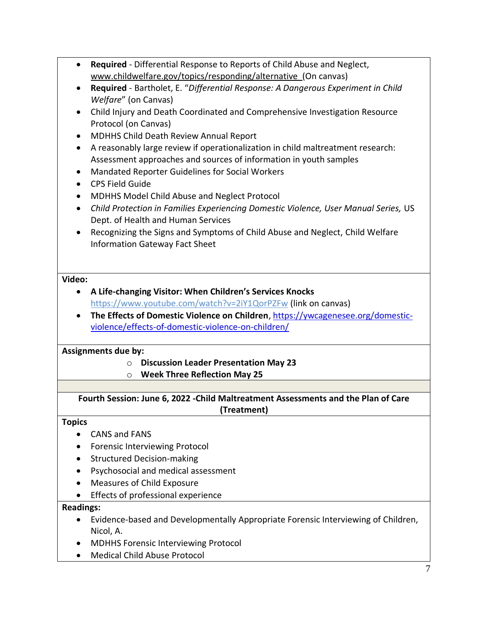- **Required**  Differential Response to Reports of Child Abuse and Neglect, [www.childwelfare.gov/topics/responding/alternative](http://www.childwelfare.gov/topics/responding/alternative) (On canvas)
- **Required**  Bartholet, E. "*Differential Response: A Dangerous Experiment in Child Welfare*" (on Canvas)
- Child Injury and Death Coordinated and Comprehensive Investigation Resource Protocol (on Canvas)
- MDHHS Child Death Review Annual Report
- A reasonably large review if operationalization in child maltreatment research: Assessment approaches and sources of information in youth samples
- Mandated Reporter Guidelines for Social Workers
- CPS Field Guide
- MDHHS Model Child Abuse and Neglect Protocol
- *Child Protection in Families Experiencing Domestic Violence, User Manual Series,* US Dept. of Health and Human Services
- Recognizing the Signs and Symptoms of Child Abuse and Neglect, Child Welfare Information Gateway Fact Sheet

#### **Video:**

- **A Life-changing Visitor: When Children's Services Knocks** <https://www.youtube.com/watch?v=2iY1QorPZFw> (link on canvas)
- **The Effects of Domestic Violence on Children**[, https://ywcagenesee.org/domestic](https://ywcagenesee.org/domestic-violence/effects-of-domestic-violence-on-children/)[violence/effects-of-domestic-violence-on-children/](https://ywcagenesee.org/domestic-violence/effects-of-domestic-violence-on-children/)

## **Assignments due by:**

- o **Discussion Leader Presentation May 23**
- o **Week Three Reflection May 25**

**Fourth Session: June 6, 2022 -Child Maltreatment Assessments and the Plan of Care (Treatment)**

#### **Topics**

- CANS and FANS
- Forensic Interviewing Protocol
- Structured Decision-making
- Psychosocial and medical assessment
- Measures of Child Exposure
- Effects of professional experience

## **Readings:**

- Evidence-based and Developmentally Appropriate Forensic Interviewing of Children, Nicol, A.
- MDHHS Forensic Interviewing Protocol
- Medical Child Abuse Protocol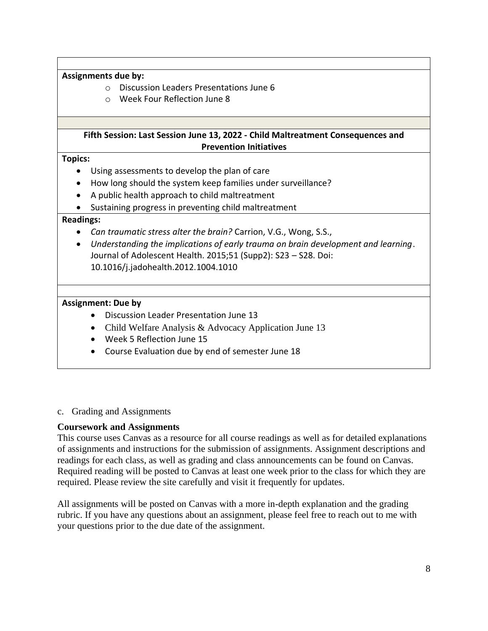**Assignments due by:** 

- o Discussion Leaders Presentations June 6
- o Week Four Reflection June 8

#### **Fifth Session: Last Session June 13, 2022 - Child Maltreatment Consequences and Prevention Initiatives**

**Topics:**

- Using assessments to develop the plan of care
- How long should the system keep families under surveillance?
- A public health approach to child maltreatment
- Sustaining progress in preventing child maltreatment

#### **Readings:**

- *Can traumatic stress alter the brain?* Carrion, V.G., Wong, S.S.,
- *Understanding the implications of early trauma on brain development and learning*. Journal of Adolescent Health. 2015;51 (Supp2): S23 – S28. Doi: 10.1016/j.jadohealth.2012.1004.1010

#### **Assignment: Due by**

- Discussion Leader Presentation June 13
- Child Welfare Analysis & Advocacy Application June 13
- Week 5 Reflection June 15
- Course Evaluation due by end of semester June 18

#### c. Grading and Assignments

## **Coursework and Assignments**

This course uses Canvas as a resource for all course readings as well as for detailed explanations of assignments and instructions for the submission of assignments. Assignment descriptions and readings for each class, as well as grading and class announcements can be found on Canvas. Required reading will be posted to Canvas at least one week prior to the class for which they are required. Please review the site carefully and visit it frequently for updates.

All assignments will be posted on Canvas with a more in-depth explanation and the grading rubric. If you have any questions about an assignment, please feel free to reach out to me with your questions prior to the due date of the assignment.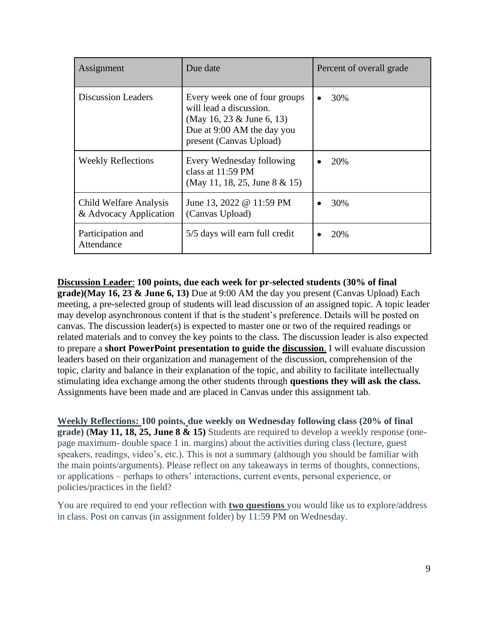| Assignment                                       | Due date                                                                                                                                         | Percent of overall grade |
|--------------------------------------------------|--------------------------------------------------------------------------------------------------------------------------------------------------|--------------------------|
| <b>Discussion Leaders</b>                        | Every week one of four groups<br>will lead a discussion.<br>(May 16, 23 $&$ June 6, 13)<br>Due at 9:00 AM the day you<br>present (Canvas Upload) | 30%                      |
| <b>Weekly Reflections</b>                        | Every Wednesday following<br>class at $11:59 \text{ PM}$<br>(May 11, 18, 25, June 8 & 15)                                                        | 20%                      |
| Child Welfare Analysis<br>& Advocacy Application | June 13, 2022 @ 11:59 PM<br>(Canvas Upload)                                                                                                      | 30%                      |
| Participation and<br>Attendance                  | 5/5 days will earn full credit                                                                                                                   | 20%                      |

**Discussion Leader**: **100 points, due each week for pr-selected students (30% of final grade)(May 16, 23 & June 6, 13)** Due at 9:00 AM the day you present (Canvas Upload) Each meeting, a pre-selected group of students will lead discussion of an assigned topic. A topic leader may develop asynchronous content if that is the student's preference. Details will be posted on canvas. The discussion leader(s) is expected to master one or two of the required readings or related materials and to convey the key points to the class. The discussion leader is also expected to prepare a **short PowerPoint presentation to guide the discussion**. I will evaluate discussion leaders based on their organization and management of the discussion, comprehension of the topic, clarity and balance in their explanation of the topic, and ability to facilitate intellectually stimulating idea exchange among the other students through **questions they will ask the class.** Assignments have been made and are placed in Canvas under this assignment tab.

**Weekly Reflections: 100 points, due weekly on Wednesday following class (20% of final grade) (May 11, 18, 25, June 8 & 15)** Students are required to develop a weekly response (onepage maximum- double space 1 in. margins) about the activities during class (lecture, guest speakers, readings, video's, etc.). This is not a summary (although you should be familiar with the main points/arguments). Please reflect on any takeaways in terms of thoughts, connections, or applications – perhaps to others' interactions, current events, personal experience, or policies/practices in the field?

You are required to end your reflection with **two questions** you would like us to explore/address in class. Post on canvas (in assignment folder) by 11:59 PM on Wednesday.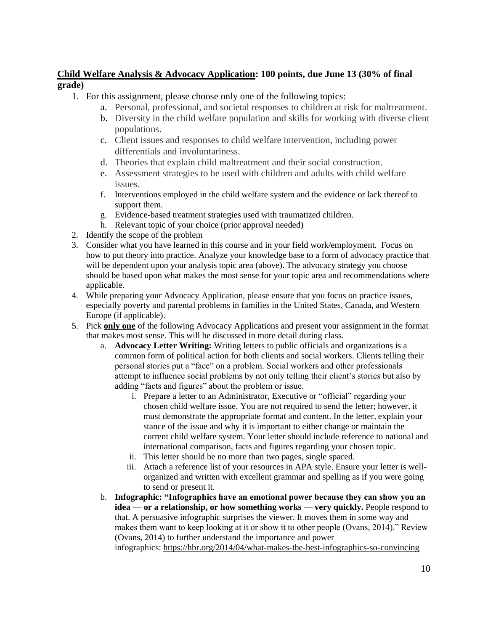## **Child Welfare Analysis & Advocacy Application: 100 points, due June 13 (30% of final grade)**

- 1. For this assignment, please choose only one of the following topics:
	- a. Personal, professional, and societal responses to children at risk for maltreatment.
	- b. Diversity in the child welfare population and skills for working with diverse client populations.
	- c. Client issues and responses to child welfare intervention, including power differentials and involuntariness.
	- d. Theories that explain child maltreatment and their social construction.
	- e. Assessment strategies to be used with children and adults with child welfare issues.
	- f. Interventions employed in the child welfare system and the evidence or lack thereof to support them.
	- g. Evidence-based treatment strategies used with traumatized children.
	- h. Relevant topic of your choice (prior approval needed)
- 2. Identify the scope of the problem
- 3. Consider what you have learned in this course and in your field work/employment. Focus on how to put theory into practice. Analyze your knowledge base to a form of advocacy practice that will be dependent upon your analysis topic area (above). The advocacy strategy you choose should be based upon what makes the most sense for your topic area and recommendations where applicable.
- 4. While preparing your Advocacy Application, please ensure that you focus on practice issues, especially poverty and parental problems in families in the United States, Canada, and Western Europe (if applicable).
- 5. Pick **only one** of the following Advocacy Applications and present your assignment in the format that makes most sense. This will be discussed in more detail during class.
	- a. **Advocacy Letter Writing:** Writing letters to public officials and organizations is a common form of political action for both clients and social workers. Clients telling their personal stories put a "face" on a problem. Social workers and other professionals attempt to influence social problems by not only telling their client's stories but also by adding "facts and figures" about the problem or issue.
		- i. Prepare a letter to an Administrator, Executive or "official" regarding your chosen child welfare issue. You are not required to send the letter; however, it must demonstrate the appropriate format and content. In the letter, explain your stance of the issue and why it is important to either change or maintain the current child welfare system. Your letter should include reference to national and international comparison, facts and figures regarding your chosen topic.
		- ii. This letter should be no more than two pages, single spaced.
		- iii. Attach a reference list of your resources in APA style. Ensure your letter is wellorganized and written with excellent grammar and spelling as if you were going to send or present it.
	- b. **Infographic: "Infographics have an emotional power because they can show you an idea — or a relationship, or how something works — very quickly.** People respond to that. A persuasive infographic surprises the viewer. It moves them in some way and makes them want to keep looking at it or show it to other people (Ovans, 2014)." Review (Ovans, 2014) to further understand the importance and power infographics: <https://hbr.org/2014/04/what-makes-the-best-infographics-so-convincing>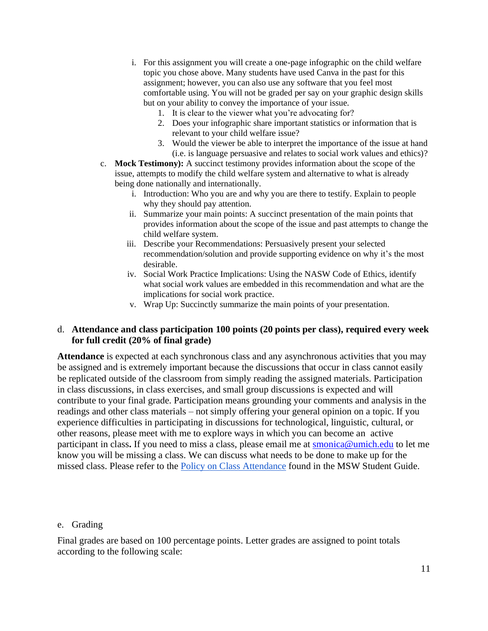- i. For this assignment you will create a one-page infographic on the child welfare topic you chose above. Many students have used Canva in the past for this assignment; however, you can also use any software that you feel most comfortable using. You will not be graded per say on your graphic design skills but on your ability to convey the importance of your issue.
	- 1. It is clear to the viewer what you're advocating for?
	- 2. Does your infographic share important statistics or information that is relevant to your child welfare issue?
	- 3. Would the viewer be able to interpret the importance of the issue at hand (i.e. is language persuasive and relates to social work values and ethics)?
- c. **Mock Testimony):** A succinct testimony provides information about the scope of the issue, attempts to modify the child welfare system and alternative to what is already being done nationally and internationally.
	- i. Introduction: Who you are and why you are there to testify. Explain to people why they should pay attention.
	- ii. Summarize your main points: A succinct presentation of the main points that provides information about the scope of the issue and past attempts to change the child welfare system.
	- iii. Describe your Recommendations: Persuasively present your selected recommendation/solution and provide supporting evidence on why it's the most desirable.
	- iv. Social Work Practice Implications: Using the NASW Code of Ethics, identify what social work values are embedded in this recommendation and what are the implications for social work practice.
	- v. Wrap Up: Succinctly summarize the main points of your presentation.

#### d. **Attendance and class participation 100 points (20 points per class), required every week for full credit (20% of final grade)**

**Attendance** is expected at each synchronous class and any asynchronous activities that you may be assigned and is extremely important because the discussions that occur in class cannot easily be replicated outside of the classroom from simply reading the assigned materials. Participation in class discussions, in class exercises, and small group discussions is expected and will contribute to your final grade. Participation means grounding your comments and analysis in the readings and other class materials – not simply offering your general opinion on a topic. If you experience difficulties in participating in discussions for technological, linguistic, cultural, or other reasons, please meet with me to explore ways in which you can become an active participant in class. If you need to miss a class, please email me at **smonica@umich.edu** to let me know you will be missing a class. We can discuss what needs to be done to make up for the missed class. Please refer to the [Policy on Class Attendance](https://ssw.umich.edu/msw-student-guide/section/1.09.00/17/policy-on-class-attendance) found in the MSW Student Guide.

#### e. Grading

Final grades are based on 100 percentage points. Letter grades are assigned to point totals according to the following scale: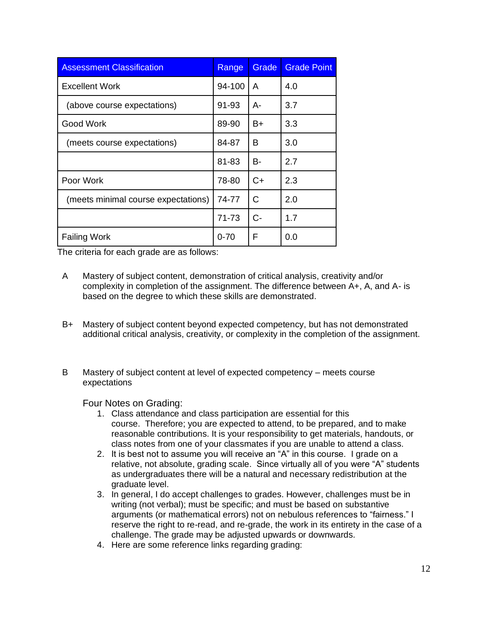| <b>Assessment Classification</b>    | Range    | Grade | <b>Grade Point</b> |
|-------------------------------------|----------|-------|--------------------|
| <b>Excellent Work</b>               | 94-100   | A     | 4.0                |
| (above course expectations)         | 91-93    | А-    | 3.7                |
| Good Work                           | 89-90    | B+    | 3.3                |
| (meets course expectations)         | 84-87    | B     | 3.0                |
|                                     | 81-83    | B-    | 2.7                |
| Poor Work                           | 78-80    | C+    | 2.3                |
| (meets minimal course expectations) | 74-77    | С     | 2.0                |
|                                     | 71-73    | $C-$  | 1.7                |
| <b>Failing Work</b>                 | $0 - 70$ | F     | 0.0                |

The criteria for each grade are as follows:

- A Mastery of subject content, demonstration of critical analysis, creativity and/or complexity in completion of the assignment. The difference between A+, A, and A- is based on the degree to which these skills are demonstrated.
- B+ Mastery of subject content beyond expected competency, but has not demonstrated additional critical analysis, creativity, or complexity in the completion of the assignment.
- B Mastery of subject content at level of expected competency meets course expectations

Four Notes on Grading:

- 1. Class attendance and class participation are essential for this course. Therefore; you are expected to attend, to be prepared, and to make reasonable contributions. It is your responsibility to get materials, handouts, or class notes from one of your classmates if you are unable to attend a class.
- 2. It is best not to assume you will receive an "A" in this course. I grade on a relative, not absolute, grading scale. Since virtually all of you were "A" students as undergraduates there will be a natural and necessary redistribution at the graduate level.
- 3. In general, I do accept challenges to grades. However, challenges must be in writing (not verbal); must be specific; and must be based on substantive arguments (or mathematical errors) not on nebulous references to "fairness." I reserve the right to re-read, and re-grade, the work in its entirety in the case of a challenge. The grade may be adjusted upwards or downwards.
- 4. Here are some reference links regarding grading: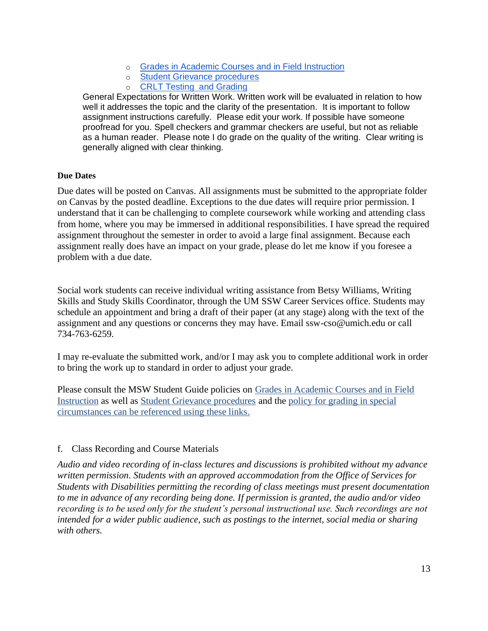- o [Grades in Academic Courses and in Field Instruction](https://ssw.umich.edu/msw-student-guide/section/1.07.00/14/grades-in-academic-courses-and-in-field-instruction)
- o [Student Grievance procedures](https://ssw.umich.edu/my-ssw/msw-forms/grievance-process)
- o [CRLT Testing](http://crlt.umich.edu/testing_and_grading) and Grading

General Expectations for Written Work. Written work will be evaluated in relation to how well it addresses the topic and the clarity of the presentation. It is important to follow assignment instructions carefully. Please edit your work. If possible have someone proofread for you. Spell checkers and grammar checkers are useful, but not as reliable as a human reader. Please note I do grade on the quality of the writing. Clear writing is generally aligned with clear thinking.

#### **Due Dates**

Due dates will be posted on Canvas. All assignments must be submitted to the appropriate folder on Canvas by the posted deadline. Exceptions to the due dates will require prior permission. I understand that it can be challenging to complete coursework while working and attending class from home, where you may be immersed in additional responsibilities. I have spread the required assignment throughout the semester in order to avoid a large final assignment. Because each assignment really does have an impact on your grade, please do let me know if you foresee a problem with a due date.

Social work students can receive individual writing assistance from Betsy Williams, Writing Skills and Study Skills Coordinator, through the UM SSW Career Services office. Students may schedule an appointment and bring a draft of their paper (at any stage) along with the text of the assignment and any questions or concerns they may have. Email ssw-cso@umich.edu or call 734-763-6259.

I may re-evaluate the submitted work, and/or I may ask you to complete additional work in order to bring the work up to standard in order to adjust your grade.

Please consult the MSW Student Guide policies on Grades in Academic Courses and in Field [Instruction](http://ssw.umich.edu/msw-student-guide/chapter/1.08/grades-in-academic-courses-and-in-field-instruction) as well as [Student Grievance procedures](http://ssw.umich.edu/msw-student-guide/chapter/1.18/student-grievances) and the [policy for grading in special](https://ssw.umich.edu/msw-student-guide/section/1.08.01/15/grades-for-special-circumstances)  [circumstances](https://ssw.umich.edu/msw-student-guide/section/1.08.01/15/grades-for-special-circumstances) can be referenced using these links.

#### f. Class Recording and Course Materials

*Audio and video recording of in-class lectures and discussions is prohibited without my advance written permission. Students with an approved accommodation from the Office of Services for Students with Disabilities permitting the recording of class meetings must present documentation to me in advance of any recording being done. If permission is granted, the audio and/or video recording is to be used only for the student's personal instructional use. Such recordings are not intended for a wider public audience, such as postings to the internet, social media or sharing with others.*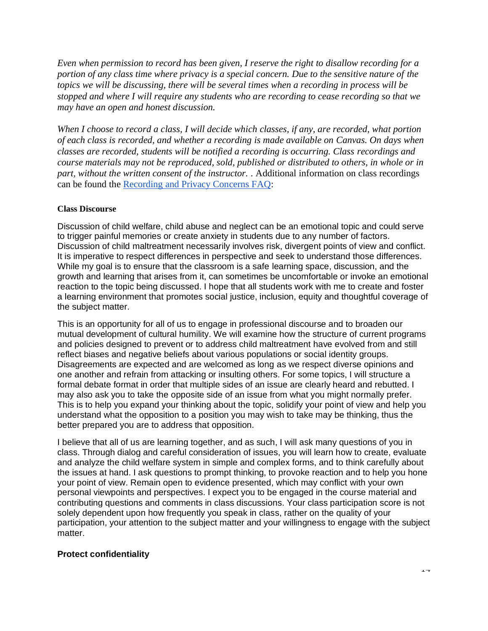*Even when permission to record has been given, I reserve the right to disallow recording for a portion of any class time where privacy is a special concern. Due to the sensitive nature of the topics we will be discussing, there will be several times when a recording in process will be stopped and where I will require any students who are recording to cease recording so that we may have an open and honest discussion.*

*When I choose to record a class, I will decide which classes, if any, are recorded, what portion of each class is recorded, and whether a recording is made available on Canvas. On days when classes are recorded, students will be notified a recording is occurring. Class recordings and course materials may not be reproduced, sold, published or distributed to others, in whole or in part, without the written consent of the instructor.* . Additional information on class recordings can be found the [Recording and Privacy Concerns FAQ:](https://safecomputing.umich.edu/be-aware/privacy/privacy-u-m/videoconferencing/recording-privacy-concerns-faq)

#### **Class Discourse**

Discussion of child welfare, child abuse and neglect can be an emotional topic and could serve to trigger painful memories or create anxiety in students due to any number of factors. Discussion of child maltreatment necessarily involves risk, divergent points of view and conflict. It is imperative to respect differences in perspective and seek to understand those differences. While my goal is to ensure that the classroom is a safe learning space, discussion, and the growth and learning that arises from it, can sometimes be uncomfortable or invoke an emotional reaction to the topic being discussed. I hope that all students work with me to create and foster a learning environment that promotes social justice, inclusion, equity and thoughtful coverage of the subject matter.

This is an opportunity for all of us to engage in professional discourse and to broaden our mutual development of cultural humility. We will examine how the structure of current programs and policies designed to prevent or to address child maltreatment have evolved from and still reflect biases and negative beliefs about various populations or social identity groups. Disagreements are expected and are welcomed as long as we respect diverse opinions and one another and refrain from attacking or insulting others. For some topics, I will structure a formal debate format in order that multiple sides of an issue are clearly heard and rebutted. I may also ask you to take the opposite side of an issue from what you might normally prefer. This is to help you expand your thinking about the topic, solidify your point of view and help you understand what the opposition to a position you may wish to take may be thinking, thus the better prepared you are to address that opposition.

I believe that all of us are learning together, and as such, I will ask many questions of you in class. Through dialog and careful consideration of issues, you will learn how to create, evaluate and analyze the child welfare system in simple and complex forms, and to think carefully about the issues at hand. I ask questions to prompt thinking, to provoke reaction and to help you hone your point of view. Remain open to evidence presented, which may conflict with your own personal viewpoints and perspectives. I expect you to be engaged in the course material and contributing questions and comments in class discussions. Your class participation score is not solely dependent upon how frequently you speak in class, rather on the quality of your participation, your attention to the subject matter and your willingness to engage with the subject matter.

#### **Protect confidentiality**